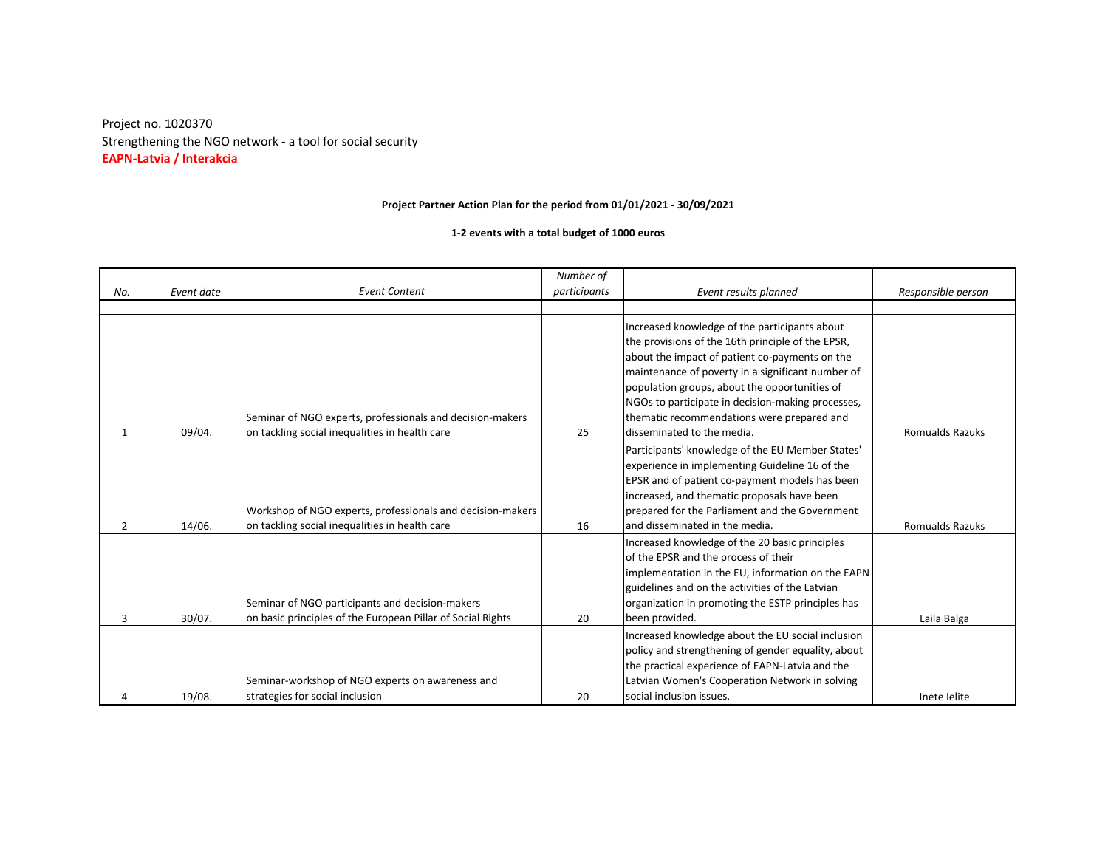Strengthening the NGO network - a tool for social security Project no. 1020370 **EAPN-Latvia / Interakcia**

## **Project Partner Action Plan for the period from 01/01/2021 - 30/09/2021**

**1-2 events with a total budget of 1000 euros**

|                |            |                                                             | Number of    |                                                    |                        |
|----------------|------------|-------------------------------------------------------------|--------------|----------------------------------------------------|------------------------|
| No.            | Event date | <b>Event Content</b>                                        | participants | Event results planned                              | Responsible person     |
|                |            |                                                             |              |                                                    |                        |
|                |            |                                                             |              | Increased knowledge of the participants about      |                        |
|                |            |                                                             |              | the provisions of the 16th principle of the EPSR,  |                        |
|                |            |                                                             |              | about the impact of patient co-payments on the     |                        |
|                |            |                                                             |              | maintenance of poverty in a significant number of  |                        |
|                |            |                                                             |              | population groups, about the opportunities of      |                        |
|                |            |                                                             |              | NGOs to participate in decision-making processes,  |                        |
|                |            | Seminar of NGO experts, professionals and decision-makers   |              | thematic recommendations were prepared and         |                        |
|                | 09/04.     | on tackling social inequalities in health care              | 25           | disseminated to the media.                         | <b>Romualds Razuks</b> |
|                |            |                                                             |              | Participants' knowledge of the EU Member States'   |                        |
|                |            |                                                             |              | experience in implementing Guideline 16 of the     |                        |
|                |            |                                                             |              | EPSR and of patient co-payment models has been     |                        |
|                |            |                                                             |              | increased, and thematic proposals have been        |                        |
|                |            | Workshop of NGO experts, professionals and decision-makers  |              | prepared for the Parliament and the Government     |                        |
| $\overline{2}$ | 14/06.     | on tackling social inequalities in health care              | 16           | and disseminated in the media.                     | <b>Romualds Razuks</b> |
|                |            |                                                             |              | Increased knowledge of the 20 basic principles     |                        |
|                |            |                                                             |              | of the EPSR and the process of their               |                        |
|                |            |                                                             |              | implementation in the EU, information on the EAPN  |                        |
|                |            |                                                             |              | guidelines and on the activities of the Latvian    |                        |
|                |            | Seminar of NGO participants and decision-makers             |              | organization in promoting the ESTP principles has  |                        |
| 3              | 30/07.     | on basic principles of the European Pillar of Social Rights | 20           | been provided.                                     | Laila Balga            |
|                |            |                                                             |              | Increased knowledge about the EU social inclusion  |                        |
|                |            |                                                             |              | policy and strengthening of gender equality, about |                        |
|                |            |                                                             |              | the practical experience of EAPN-Latvia and the    |                        |
|                |            | Seminar-workshop of NGO experts on awareness and            |              | Latvian Women's Cooperation Network in solving     |                        |
|                | 19/08.     | strategies for social inclusion                             | 20           | social inclusion issues.                           | Inete lelite           |